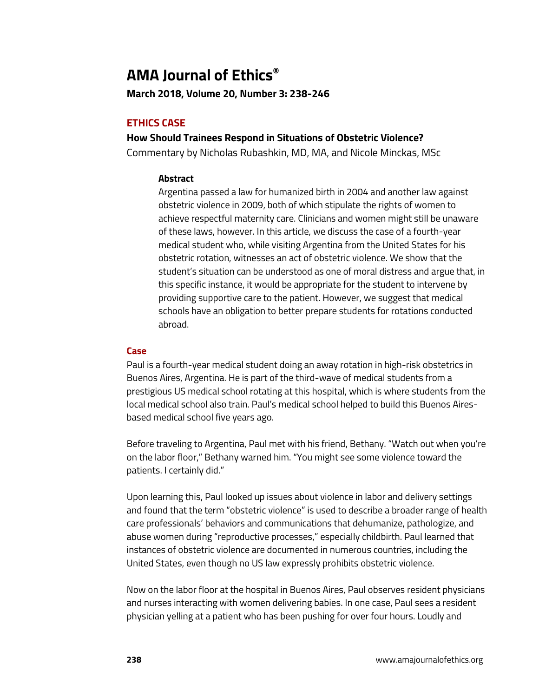# **AMA Journal of Ethics®**

# **March 2018, Volume 20, Number 3: 238-246**

# **ETHICS CASE**

# **How Should Trainees Respond in Situations of Obstetric Violence?**

Commentary by Nicholas Rubashkin, MD, MA, and Nicole Minckas, MSc

## **Abstract**

Argentina passed a law for humanized birth in 2004 and another law against obstetric violence in 2009, both of which stipulate the rights of women to achieve respectful maternity care. Clinicians and women might still be unaware of these laws, however. In this article, we discuss the case of a fourth-year medical student who, while visiting Argentina from the United States for his obstetric rotation, witnesses an act of obstetric violence. We show that the student's situation can be understood as one of moral distress and argue that, in this specific instance, it would be appropriate for the student to intervene by providing supportive care to the patient. However, we suggest that medical schools have an obligation to better prepare students for rotations conducted abroad.

#### **Case**

Paul is a fourth-year medical student doing an away rotation in high-risk obstetrics in Buenos Aires, Argentina. He is part of the third-wave of medical students from a prestigious US medical school rotating at this hospital, which is where students from the local medical school also train. Paul's medical school helped to build this Buenos Airesbased medical school five years ago.

Before traveling to Argentina, Paul met with his friend, Bethany. "Watch out when you're on the labor floor," Bethany warned him. "You might see some violence toward the patients. I certainly did."

Upon learning this, Paul looked up issues about violence in labor and delivery settings and found that the term "obstetric violence" is used to describe a broader range of health care professionals' behaviors and communications that dehumanize, pathologize, and abuse women during "reproductive processes," especially childbirth. Paul learned that instances of obstetric violence are documented in numerous countries, including the United States, even though no US law expressly prohibits obstetric violence.

Now on the labor floor at the hospital in Buenos Aires, Paul observes resident physicians and nurses interacting with women delivering babies. In one case, Paul sees a resident physician yelling at a patient who has been pushing for over four hours. Loudly and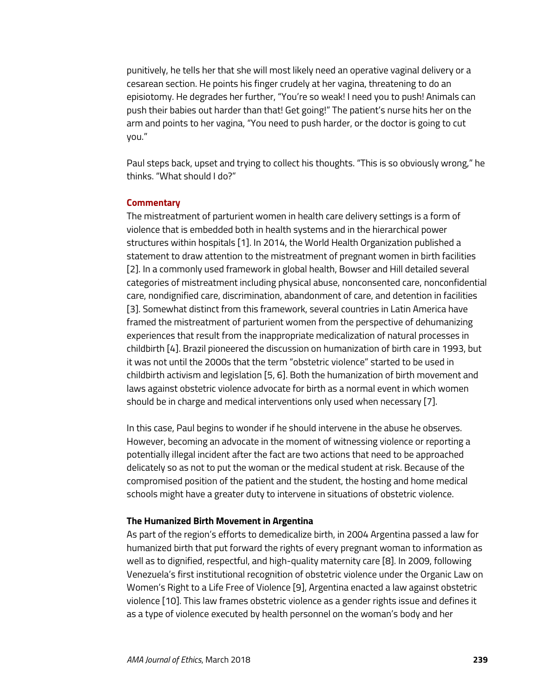punitively, he tells her that she will most likely need an operative vaginal delivery or a cesarean section. He points his finger crudely at her vagina, threatening to do an episiotomy. He degrades her further, "You're so weak! I need you to push! Animals can push their babies out harder than that! Get going!" The patient's nurse hits her on the arm and points to her vagina, "You need to push harder, or the doctor is going to cut you."

Paul steps back, upset and trying to collect his thoughts. "This is so obviously wrong," he thinks. "What should I do?"

## **Commentary**

The mistreatment of parturient women in health care delivery settings is a form of violence that is embedded both in health systems and in the hierarchical power structures within hospitals [1]. In 2014, the World Health Organization published a statement to draw attention to the mistreatment of pregnant women in birth facilities [2]. In a commonly used framework in global health, Bowser and Hill detailed several categories of mistreatment including physical abuse, nonconsented care, nonconfidential care, nondignified care, discrimination, abandonment of care, and detention in facilities [3]. Somewhat distinct from this framework, several countries in Latin America have framed the mistreatment of parturient women from the perspective of dehumanizing experiences that result from the inappropriate medicalization of natural processes in childbirth [4]. Brazil pioneered the discussion on humanization of birth care in 1993, but it was not until the 2000s that the term "obstetric violence" started to be used in childbirth activism and legislation [5, 6]. Both the humanization of birth movement and laws against obstetric violence advocate for birth as a normal event in which women should be in charge and medical interventions only used when necessary [7].

In this case, Paul begins to wonder if he should intervene in the abuse he observes. However, becoming an advocate in the moment of witnessing violence or reporting a potentially illegal incident after the fact are two actions that need to be approached delicately so as not to put the woman or the medical student at risk. Because of the compromised position of the patient and the student, the hosting and home medical schools might have a greater duty to intervene in situations of obstetric violence.

#### **The Humanized Birth Movement in Argentina**

As part of the region's efforts to demedicalize birth, in 2004 Argentina passed a law for humanized birth that put forward the rights of every pregnant woman to information as well as to dignified, respectful, and high-quality maternity care [8]. In 2009, following Venezuela's first institutional recognition of obstetric violence under the Organic Law on Women's Right to a Life Free of Violence [9], Argentina enacted a law against obstetric violence [10]. This law frames obstetric violence as a gender rights issue and defines it as a type of violence executed by health personnel on the woman's body and her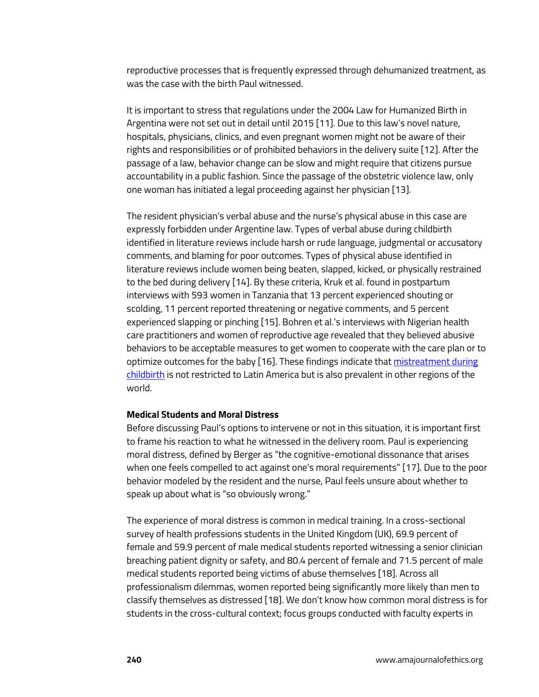reproductive processes that is frequently expressed through dehumanized treatment, as was the case with the birth Paul witnessed.

It is important to stress that regulations under the 2004 Law for Humanized Birth in Argentina were not set out in detail until 2015 [11]. Due to this law's novel nature, hospitals, physicians, clinics, and even pregnant women might not be aware of their rights and responsibilities or of prohibited behaviors in the delivery suite [12]. After the passage of a law, behavior change can be slow and might require that citizens pursue accountability in a public fashion. Since the passage of the obstetric violence law, only one woman has initiated a legal proceeding against her physician [13].

The resident physician's verbal abuse and the nurse's physical abuse in this case are expressly forbidden under Argentine law. Types of verbal abuse during childbirth identified in literature reviews include harsh or rude language, judgmental or accusatory comments, and blaming for poor outcomes. Types of physical abuse identified in literature reviews include women being beaten, slapped, kicked, or physically restrained to the bed during delivery [14]. By these criteria, Kruk et al. found in postpartum interviews with 593 women in Tanzania that 13 percent experienced shouting or scolding, 11 percent reported threatening or negative comments, and 5 percent experienced slapping or pinching [15]. Bohren et al.'s interviews with Nigerian health care practitioners and women of reproductive age revealed that they believed abusive behaviors to be acceptable measures to get women to cooperate with the care plan or to optimize outcomes for the baby [16]. These findings indicate that mistreatment during [childbirth](http://journalofethics.ama-assn.org/2013/09/pfor2-1309.html) is not restricted to Latin America but is also prevalent in other regions of the world.

#### **Medical Students and Moral Distress**

Before discussing Paul's options to intervene or not in this situation, it is important first to frame his reaction to what he witnessed in the delivery room. Paul is experiencing moral distress, defined by Berger as "the cognitive-emotional dissonance that arises when one feels compelled to act against one's moral requirements" [17]. Due to the poor behavior modeled by the resident and the nurse, Paul feels unsure about whether to speak up about what is "so obviously wrong."

The experience of moral distress is common in medical training. In a cross-sectional survey of health professions students in the United Kingdom (UK), 69.9 percent of female and 59.9 percent of male medical students reported witnessing a senior clinician breaching patient dignity or safety, and 80.4 percent of female and 71.5 percent of male medical students reported being victims of abuse themselves [18]. Across all professionalism dilemmas, women reported being significantly more likely than men to classify themselves as distressed [18]. We don't know how common moral distress is for students in the cross-cultural context; focus groups conducted with faculty experts in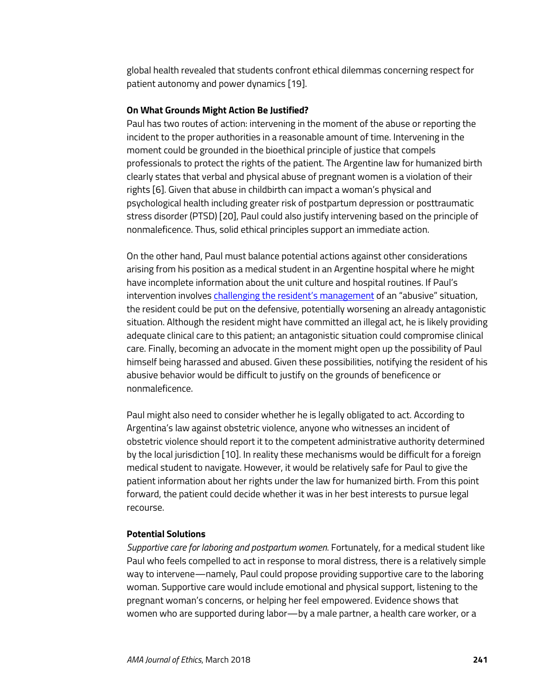global health revealed that students confront ethical dilemmas concerning respect for patient autonomy and power dynamics [19].

#### **On What Grounds Might Action Be Justified?**

Paul has two routes of action: intervening in the moment of the abuse or reporting the incident to the proper authorities in a reasonable amount of time. Intervening in the moment could be grounded in the bioethical principle of justice that compels professionals to protect the rights of the patient. The Argentine law for humanized birth clearly states that verbal and physical abuse of pregnant women is a violation of their rights [6]. Given that abuse in childbirth can impact a woman's physical and psychological health including greater risk of postpartum depression or posttraumatic stress disorder (PTSD) [20], Paul could also justify intervening based on the principle of nonmaleficence. Thus, solid ethical principles support an immediate action.

On the other hand, Paul must balance potential actions against other considerations arising from his position as a medical student in an Argentine hospital where he might have incomplete information about the unit culture and hospital routines. If Paul's intervention involves [challenging the resident's management](http://journalofethics.ama-assn.org/2013/09/pfor2-1309.html) of an "abusive" situation, the resident could be put on the defensive, potentially worsening an already antagonistic situation. Although the resident might have committed an illegal act, he is likely providing adequate clinical care to this patient; an antagonistic situation could compromise clinical care. Finally, becoming an advocate in the moment might open up the possibility of Paul himself being harassed and abused. Given these possibilities, notifying the resident of his abusive behavior would be difficult to justify on the grounds of beneficence or nonmaleficence.

Paul might also need to consider whether he is legally obligated to act. According to Argentina's law against obstetric violence, anyone who witnesses an incident of obstetric violence should report it to the competent administrative authority determined by the local jurisdiction [10]. In reality these mechanisms would be difficult for a foreign medical student to navigate. However, it would be relatively safe for Paul to give the patient information about her rights under the law for humanized birth. From this point forward, the patient could decide whether it was in her best interests to pursue legal recourse.

#### **Potential Solutions**

*Supportive care for laboring and postpartum women*. Fortunately, for a medical student like Paul who feels compelled to act in response to moral distress, there is a relatively simple way to intervene—namely, Paul could propose providing supportive care to the laboring woman. Supportive care would include emotional and physical support, listening to the pregnant woman's concerns, or helping her feel empowered. Evidence shows that women who are supported during labor—by a male partner, a health care worker, or a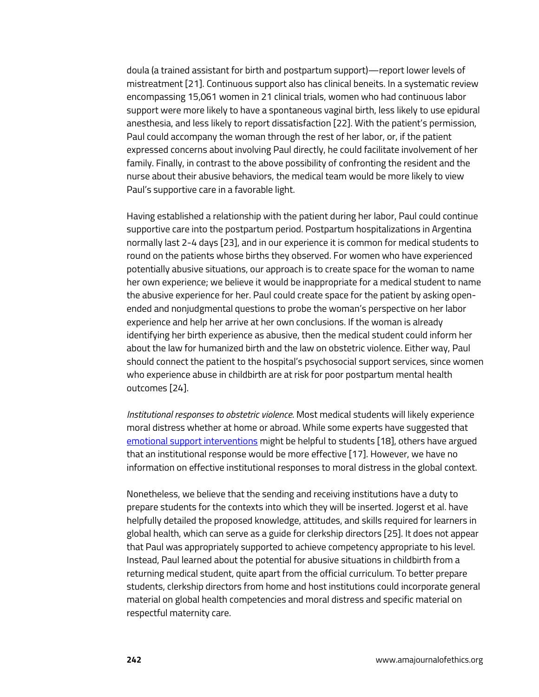doula (a trained assistant for birth and postpartum support)—report lower levels of mistreatment [21]. Continuous support also has clinical beneits. In a systematic review encompassing 15,061 women in 21 clinical trials, women who had continuous labor support were more likely to have a spontaneous vaginal birth, less likely to use epidural anesthesia, and less likely to report dissatisfaction [22]. With the patient's permission, Paul could accompany the woman through the rest of her labor, or, if the patient expressed concerns about involving Paul directly, he could facilitate involvement of her family. Finally, in contrast to the above possibility of confronting the resident and the nurse about their abusive behaviors, the medical team would be more likely to view Paul's supportive care in a favorable light.

Having established a relationship with the patient during her labor, Paul could continue supportive care into the postpartum period. Postpartum hospitalizations in Argentina normally last 2-4 days [23], and in our experience it is common for medical students to round on the patients whose births they observed. For women who have experienced potentially abusive situations, our approach is to create space for the woman to name her own experience; we believe it would be inappropriate for a medical student to name the abusive experience for her. Paul could create space for the patient by asking openended and nonjudgmental questions to probe the woman's perspective on her labor experience and help her arrive at her own conclusions. If the woman is already identifying her birth experience as abusive, then the medical student could inform her about the law for humanized birth and the law on obstetric violence. Either way, Paul should connect the patient to the hospital's psychosocial support services, since women who experience abuse in childbirth are at risk for poor postpartum mental health outcomes [24].

*Institutional responses to obstetric violence*. Most medical students will likely experience moral distress whether at home or abroad. While some experts have suggested that [emotional support interventions](http://journalofethics.ama-assn.org/2017/06/medu1-1706.html) might be helpful to students [18], others have argued that an institutional response would be more effective [17]. However, we have no information on effective institutional responses to moral distress in the global context.

Nonetheless, we believe that the sending and receiving institutions have a duty to prepare students for the contexts into which they will be inserted. Jogerst et al. have helpfully detailed the proposed knowledge, attitudes, and skills required for learners in global health, which can serve as a guide for clerkship directors [25]. It does not appear that Paul was appropriately supported to achieve competency appropriate to his level. Instead, Paul learned about the potential for abusive situations in childbirth from a returning medical student, quite apart from the official curriculum. To better prepare students, clerkship directors from home and host institutions could incorporate general material on global health competencies and moral distress and specific material on respectful maternity care.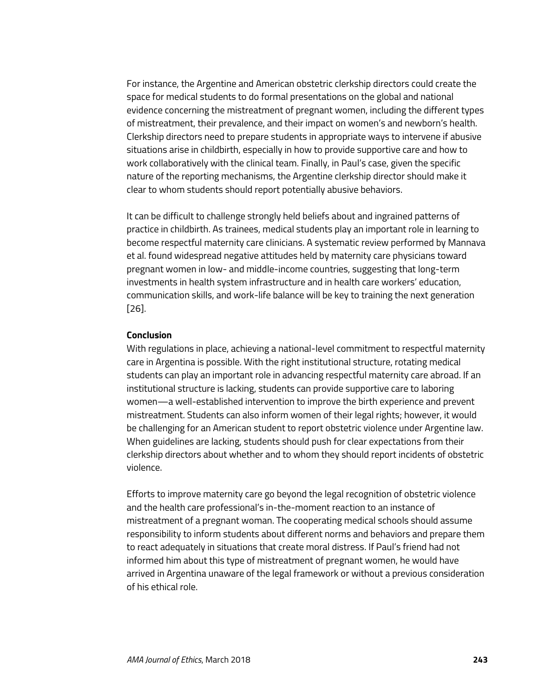For instance, the Argentine and American obstetric clerkship directors could create the space for medical students to do formal presentations on the global and national evidence concerning the mistreatment of pregnant women, including the different types of mistreatment, their prevalence, and their impact on women's and newborn's health. Clerkship directors need to prepare students in appropriate ways to intervene if abusive situations arise in childbirth, especially in how to provide supportive care and how to work collaboratively with the clinical team. Finally, in Paul's case, given the specific nature of the reporting mechanisms, the Argentine clerkship director should make it clear to whom students should report potentially abusive behaviors.

It can be difficult to challenge strongly held beliefs about and ingrained patterns of practice in childbirth. As trainees, medical students play an important role in learning to become respectful maternity care clinicians. A systematic review performed by Mannava et al. found widespread negative attitudes held by maternity care physicians toward pregnant women in low- and middle-income countries, suggesting that long-term investments in health system infrastructure and in health care workers' education, communication skills, and work-life balance will be key to training the next generation [26].

#### **Conclusion**

With regulations in place, achieving a national-level commitment to respectful maternity care in Argentina is possible. With the right institutional structure, rotating medical students can play an important role in advancing respectful maternity care abroad. If an institutional structure is lacking, students can provide supportive care to laboring women—a well-established intervention to improve the birth experience and prevent mistreatment. Students can also inform women of their legal rights; however, it would be challenging for an American student to report obstetric violence under Argentine law. When guidelines are lacking, students should push for clear expectations from their clerkship directors about whether and to whom they should report incidents of obstetric violence.

Efforts to improve maternity care go beyond the legal recognition of obstetric violence and the health care professional's in-the-moment reaction to an instance of mistreatment of a pregnant woman. The cooperating medical schools should assume responsibility to inform students about different norms and behaviors and prepare them to react adequately in situations that create moral distress. If Paul's friend had not informed him about this type of mistreatment of pregnant women, he would have arrived in Argentina unaware of the legal framework or without a previous consideration of his ethical role.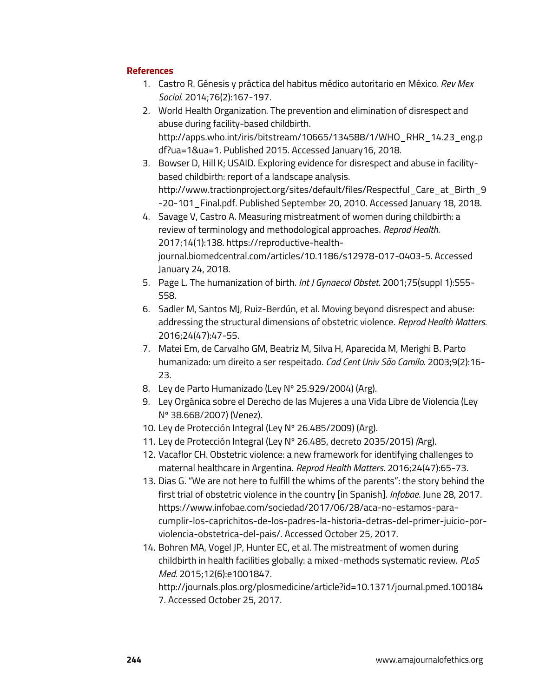# **References**

- 1. Castro R. Génesis y práctica del habitus médico autoritario en México*. Rev Mex Sociol*. 2014;76(2):167-197.
- 2. World Health Organization. The prevention and elimination of disrespect and abuse during facility-based childbirth. http://apps.who.int/iris/bitstream/10665/134588/1/WHO\_RHR\_14.23\_eng.p df?ua=1&ua=1. Published 2015. Accessed January16, 2018.
- 3. Bowser D, Hill K; USAID. Exploring evidence for disrespect and abuse in facilitybased childbirth: report of a landscape analysis. http://www.tractionproject.org/sites/default/files/Respectful Care at Birth 9 -20-101\_Final.pdf. Published September 20, 2010. Accessed January 18, 2018.
- 4. Savage V, Castro A. Measuring mistreatment of women during childbirth: a review of terminology and methodological approaches. *Reprod Health*. 2017;14(1):138. https://reproductive-healthjournal.biomedcentral.com/articles/10.1186/s12978-017-0403-5. Accessed January 24, 2018.
- 5. Page L. The humanization of birth. *Int J Gynaecol Obstet*. 2001;75(suppl 1):S55- S58.
- 6. Sadler M, Santos MJ, Ruiz-Berdún, et al. Moving beyond disrespect and abuse: addressing the structural dimensions of obstetric violence. *Reprod Health Matters*. 2016;24(47):47-55.
- 7. Matei Em, de Carvalho GM, Beatriz M, Silva H, Aparecida M, Merighi B. Parto humanizado: um direito a ser respeitado. *Cad Cent Univ São Camilo*. 2003;9(2):16- 23.
- 8. Ley de Parto Humanizado (Ley Nº 25.929/2004) (Arg).
- 9. Ley Orgánica sobre el Derecho de las Mujeres a una Vida Libre de Violencia (Ley Nº 38.668/2007) (Venez).
- 10. Ley de Protección Integral (Ley Nº 26.485/2009) (Arg).
- 11. Ley de Protección Integral (Ley Nº 26.485, decreto 2035/2015) *(*Arg).
- 12. Vacaflor CH. Obstetric violence: a new framework for identifying challenges to maternal healthcare in Argentina. *Reprod Health Matters*. 2016;24(47):65-73.
- 13. Dias G. "We are not here to fulfill the whims of the parents": the story behind the first trial of obstetric violence in the country [in Spanish]. *Infobae*. June 28, 2017. https://www.infobae.com/sociedad/2017/06/28/aca-no-estamos-paracumplir-los-caprichitos-de-los-padres-la-historia-detras-del-primer-juicio-porviolencia-obstetrica-del-pais/. Accessed October 25, 2017.
- 14. Bohren MA, Vogel JP, Hunter EC, et al. The mistreatment of women during childbirth in health facilities globally: a mixed-methods systematic review. *PLoS Med*. 2015;12(6):e1001847. http://journals.plos.org/plosmedicine/article?id=10.1371/journal.pmed.100184 7. Accessed October 25, 2017.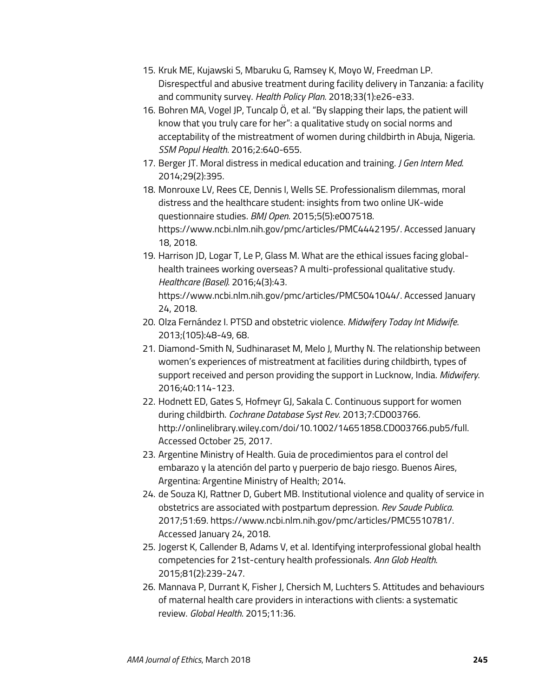- 15. Kruk ME, Kujawski S, Mbaruku G, Ramsey K, Moyo W, Freedman LP. Disrespectful and abusive treatment during facility delivery in Tanzania: a facility and community survey. *Health Policy Plan*. 2018;33(1):e26-e33.
- 16. Bohren MA, Vogel JP, Tuncalp Ö, et al. "By slapping their laps, the patient will know that you truly care for her": a qualitative study on social norms and acceptability of the mistreatment of women during childbirth in Abuja, Nigeria. *SSM Popul Health*. 2016;2:640-655.
- 17. Berger JT. Moral distress in medical education and training. *J Gen Intern Med*. 2014;29(2):395.
- 18. Monrouxe LV, Rees CE, Dennis I, Wells SE. Professionalism dilemmas, moral distress and the healthcare student: insights from two online UK-wide questionnaire studies. *BMJ Open*. 2015;5(5):e007518. https://www.ncbi.nlm.nih.gov/pmc/articles/PMC4442195/. Accessed January 18, 2018.
- 19. Harrison JD, Logar T, Le P, Glass M. What are the ethical issues facing globalhealth trainees working overseas? A multi-professional qualitative study. *Healthcare (Basel)*. 2016;4(3):43. https://www.ncbi.nlm.nih.gov/pmc/articles/PMC5041044/. Accessed January
- 24, 2018. 20. Olza Fernández I. PTSD and obstetric violence. *Midwifery Today Int Midwife*. 2013;(105):48-49, 68.
- 21. Diamond-Smith N, Sudhinaraset M, Melo J, Murthy N. The relationship between women's experiences of mistreatment at facilities during childbirth, types of support received and person providing the support in Lucknow, India. *Midwifery*. 2016;40:114-123.
- 22. Hodnett ED, Gates S, Hofmeyr GJ, Sakala C. Continuous support for women during childbirth. *Cochrane Database Syst Rev*. 2013;7:CD003766. http://onlinelibrary.wiley.com/doi/10.1002/14651858.CD003766.pub5/full. Accessed October 25, 2017.
- 23. Argentine Ministry of Health. Guia de procedimientos para el control del embarazo y la atención del parto y puerperio de bajo riesgo. Buenos Aires, Argentina: Argentine Ministry of Health; 2014.
- 24. de Souza KJ, Rattner D, Gubert MB. Institutional violence and quality of service in obstetrics are associated with postpartum depression. *Rev Saude Publica*. 2017;51:69. https://www.ncbi.nlm.nih.gov/pmc/articles/PMC5510781/. Accessed January 24, 2018.
- 25. Jogerst K, Callender B, Adams V, et al. Identifying interprofessional global health competencies for 21st-century health professionals. *Ann Glob Health*. 2015;81(2):239-247.
- 26. Mannava P, Durrant K, Fisher J, Chersich M, Luchters S. Attitudes and behaviours of maternal health care providers in interactions with clients: a systematic review. *Global Health*. 2015;11:36.